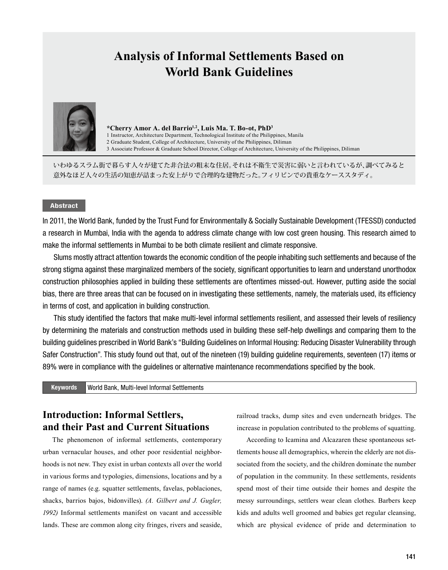# **Analysis of Informal Settlements Based on World Bank Guidelines**



**\*Cherry Amor A. del Barrio1,2, Luis Ma. T. Bo-ot, PhD<sup>3</sup>**

1 Instructor, Architecture Department, Technological Institute of the Philippines, Manila

2 Graduate Student, College of Architecture, University of the Philippines, Diliman

3 Associate Professor & Graduate School Director, College of Architecture, University of the Philippines, Diliman

いわゆるスラム街で暮らす人々が建てた非合法の粗末な住居。それは不衛生で災害に弱いと言われているが、調べてみると 意外なほど人々の生活の知恵が詰まった安上がりで合理的な建物だった。フィリピンでの貴重なケーススタディ。

### Abstract

In 2011, the World Bank, funded by the Trust Fund for Environmentally & Socially Sustainable Development (TFESSD) conducted a research in Mumbai, India with the agenda to address climate change with low cost green housing. This research aimed to make the informal settlements in Mumbai to be both climate resilient and climate responsive.

Slums mostly attract attention towards the economic condition of the people inhabiting such settlements and because of the strong stigma against these marginalized members of the society, significant opportunities to learn and understand unorthodox construction philosophies applied in building these settlements are oftentimes missed-out. However, putting aside the social bias, there are three areas that can be focused on in investigating these settlements, namely, the materials used, its efficiency in terms of cost, and application in building construction.

This study identified the factors that make multi-level informal settlements resilient, and assessed their levels of resiliency by determining the materials and construction methods used in building these self-help dwellings and comparing them to the building guidelines prescribed in World Bank's "Building Guidelines on Informal Housing: Reducing Disaster Vulnerability through Safer Construction". This study found out that, out of the nineteen (19) building guideline requirements, seventeen (17) items or 89% were in compliance with the guidelines or alternative maintenance recommendations specified by the book.

Keywords World Bank, Multi-level Informal Settlements

# **Introduction: Informal Settlers, and their Past and Current Situations**

The phenomenon of informal settlements, contemporary urban vernacular houses, and other poor residential neighborhoods is not new. They exist in urban contexts all over the world in various forms and typologies, dimensions, locations and by a range of names (e.g. squatter settlements, favelas, poblaciones, shacks, barrios bajos, bidonvilles). *(A. Gilbert and J. Gugler, 1992)* Informal settlements manifest on vacant and accessible lands. These are common along city fringes, rivers and seaside, railroad tracks, dump sites and even underneath bridges. The increase in population contributed to the problems of squatting.

According to Icamina and Alcazaren these spontaneous settlements house all demographics, wherein the elderly are not dissociated from the society, and the children dominate the number of population in the community. In these settlements, residents spend most of their time outside their homes and despite the messy surroundings, settlers wear clean clothes. Barbers keep kids and adults well groomed and babies get regular cleansing, which are physical evidence of pride and determination to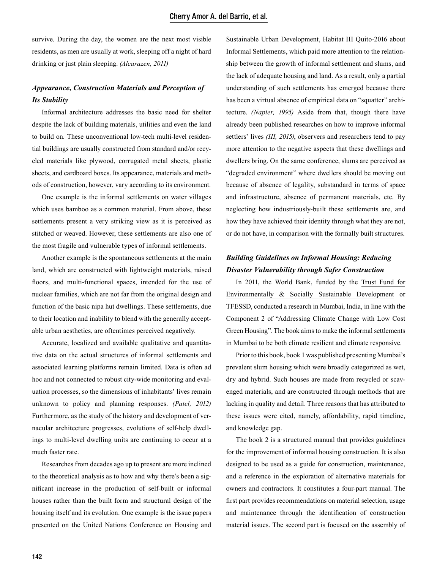survive. During the day, the women are the next most visible residents, as men are usually at work, sleeping off a night of hard drinking or just plain sleeping. *(Alcarazen, 2011)*

## *Appearance, Construction Materials and Perception of Its Stability*

Informal architecture addresses the basic need for shelter despite the lack of building materials, utilities and even the land to build on. These unconventional low-tech multi-level residential buildings are usually constructed from standard and/or recycled materials like plywood, corrugated metal sheets, plastic sheets, and cardboard boxes. Its appearance, materials and methods of construction, however, vary according to its environment.

One example is the informal settlements on water villages which uses bamboo as a common material. From above, these settlements present a very striking view as it is perceived as stitched or weaved. However, these settlements are also one of the most fragile and vulnerable types of informal settlements.

Another example is the spontaneous settlements at the main land, which are constructed with lightweight materials, raised floors, and multi-functional spaces, intended for the use of nuclear families, which are not far from the original design and function of the basic nipa hut dwellings. These settlements, due to their location and inability to blend with the generally acceptable urban aesthetics, are oftentimes perceived negatively.

Accurate, localized and available qualitative and quantitative data on the actual structures of informal settlements and associated learning platforms remain limited. Data is often ad hoc and not connected to robust city-wide monitoring and evaluation processes, so the dimensions of inhabitants' lives remain unknown to policy and planning responses. *(Patel, 2012)*  Furthermore, as the study of the history and development of vernacular architecture progresses, evolutions of self-help dwellings to multi-level dwelling units are continuing to occur at a much faster rate.

Researches from decades ago up to present are more inclined to the theoretical analysis as to how and why there's been a significant increase in the production of self-built or informal houses rather than the built form and structural design of the housing itself and its evolution. One example is the issue papers presented on the United Nations Conference on Housing and

Sustainable Urban Development, Habitat III Quito-2016 about Informal Settlements, which paid more attention to the relationship between the growth of informal settlement and slums, and the lack of adequate housing and land. As a result, only a partial understanding of such settlements has emerged because there has been a virtual absence of empirical data on "squatter" architecture. *(Napier, 1995)* Aside from that, though there have already been published researches on how to improve informal settlers' lives *(III, 2015)*, observers and researchers tend to pay more attention to the negative aspects that these dwellings and dwellers bring. On the same conference, slums are perceived as "degraded environment" where dwellers should be moving out because of absence of legality, substandard in terms of space and infrastructure, absence of permanent materials, etc. By neglecting how industriously-built these settlements are, and how they have achieved their identity through what they are not, or do not have, in comparison with the formally built structures.

# *Building Guidelines on Informal Housing: Reducing Disaster Vulnerability through Safer Construction*

In 2011, the World Bank, funded by the Trust Fund for Environmentally & Socially Sustainable Development or TFESSD, conducted a research in Mumbai, India, in line with the Component 2 of "Addressing Climate Change with Low Cost Green Housing". The book aims to make the informal settlements in Mumbai to be both climate resilient and climate responsive.

Prior to this book, book 1 was published presenting Mumbai's prevalent slum housing which were broadly categorized as wet, dry and hybrid. Such houses are made from recycled or scavenged materials, and are constructed through methods that are lacking in quality and detail. Three reasons that has attributed to these issues were cited, namely, affordability, rapid timeline, and knowledge gap.

The book 2 is a structured manual that provides guidelines for the improvement of informal housing construction. It is also designed to be used as a guide for construction, maintenance, and a reference in the exploration of alternative materials for owners and contractors. It constitutes a four-part manual. The first part provides recommendations on material selection, usage and maintenance through the identification of construction material issues. The second part is focused on the assembly of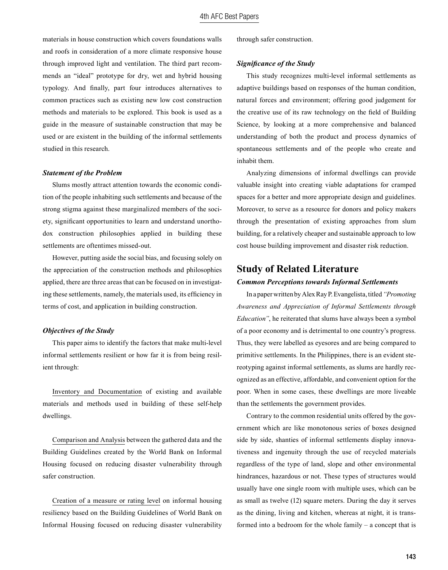materials in house construction which covers foundations walls and roofs in consideration of a more climate responsive house through improved light and ventilation. The third part recommends an "ideal" prototype for dry, wet and hybrid housing typology. And finally, part four introduces alternatives to common practices such as existing new low cost construction methods and materials to be explored. This book is used as a guide in the measure of sustainable construction that may be used or are existent in the building of the informal settlements studied in this research.

### *Statement of the Problem*

Slums mostly attract attention towards the economic condition of the people inhabiting such settlements and because of the strong stigma against these marginalized members of the society, significant opportunities to learn and understand unorthodox construction philosophies applied in building these settlements are oftentimes missed-out.

However, putting aside the social bias, and focusing solely on the appreciation of the construction methods and philosophies applied, there are three areas that can be focused on in investigating these settlements, namely, the materials used, its efficiency in terms of cost, and application in building construction.

#### *Objectives of the Study*

This paper aims to identify the factors that make multi-level informal settlements resilient or how far it is from being resilient through:

Inventory and Documentation of existing and available materials and methods used in building of these self-help dwellings.

Comparison and Analysis between the gathered data and the Building Guidelines created by the World Bank on Informal Housing focused on reducing disaster vulnerability through safer construction.

Creation of a measure or rating level on informal housing resiliency based on the Building Guidelines of World Bank on Informal Housing focused on reducing disaster vulnerability through safer construction.

#### *Significance of the Study*

This study recognizes multi-level informal settlements as adaptive buildings based on responses of the human condition, natural forces and environment; offering good judgement for the creative use of its raw technology on the field of Building Science, by looking at a more comprehensive and balanced understanding of both the product and process dynamics of spontaneous settlements and of the people who create and inhabit them.

Analyzing dimensions of informal dwellings can provide valuable insight into creating viable adaptations for cramped spaces for a better and more appropriate design and guidelines. Moreover, to serve as a resource for donors and policy makers through the presentation of existing approaches from slum building, for a relatively cheaper and sustainable approach to low cost house building improvement and disaster risk reduction.

### **Study of Related Literature**

#### *Common Perceptions towards Informal Settlements*

In a paper written by Alex Ray P. Evangelista, titled *"Promoting Awareness and Appreciation of Informal Settlements through Education"*, he reiterated that slums have always been a symbol of a poor economy and is detrimental to one country's progress. Thus, they were labelled as eyesores and are being compared to primitive settlements. In the Philippines, there is an evident stereotyping against informal settlements, as slums are hardly recognized as an effective, affordable, and convenient option for the poor. When in some cases, these dwellings are more liveable than the settlements the government provides.

Contrary to the common residential units offered by the government which are like monotonous series of boxes designed side by side, shanties of informal settlements display innovativeness and ingenuity through the use of recycled materials regardless of the type of land, slope and other environmental hindrances, hazardous or not. These types of structures would usually have one single room with multiple uses, which can be as small as twelve (12) square meters. During the day it serves as the dining, living and kitchen, whereas at night, it is transformed into a bedroom for the whole family – a concept that is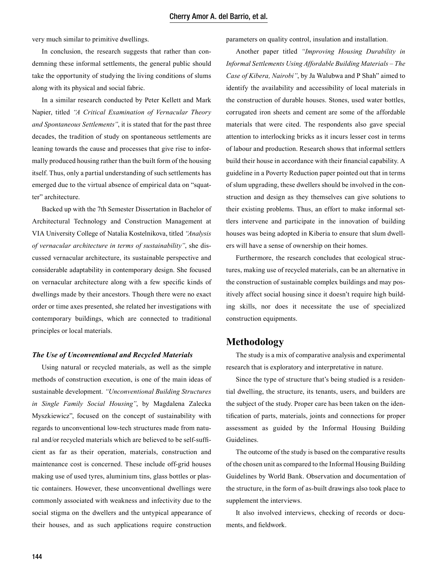very much similar to primitive dwellings.

In conclusion, the research suggests that rather than condemning these informal settlements, the general public should take the opportunity of studying the living conditions of slums along with its physical and social fabric.

In a similar research conducted by Peter Kellett and Mark Napier, titled *"A Critical Examination of Vernacular Theory and Spontaneous Settlements"*, it is stated that for the past three decades, the tradition of study on spontaneous settlements are leaning towards the cause and processes that give rise to informally produced housing rather than the built form of the housing itself. Thus, only a partial understanding of such settlements has emerged due to the virtual absence of empirical data on "squatter" architecture.

Backed up with the 7th Semester Dissertation in Bachelor of Architectural Technology and Construction Management at VIA University College of Natalia Kostelnikova, titled *"Analysis of vernacular architecture in terms of sustainability"*, she discussed vernacular architecture, its sustainable perspective and considerable adaptability in contemporary design. She focused on vernacular architecture along with a few specific kinds of dwellings made by their ancestors. Though there were no exact order or time axes presented, she related her investigations with contemporary buildings, which are connected to traditional principles or local materials.

#### *The Use of Unconventional and Recycled Materials*

Using natural or recycled materials, as well as the simple methods of construction execution, is one of the main ideas of sustainable development. *"Unconventional Building Structures in Single Family Social Housing"*, by Magdalena Zalecka Myszkiewicz", focused on the concept of sustainability with regards to unconventional low-tech structures made from natural and/or recycled materials which are believed to be self-sufficient as far as their operation, materials, construction and maintenance cost is concerned. These include off-grid houses making use of used tyres, aluminium tins, glass bottles or plastic containers. However, these unconventional dwellings were commonly associated with weakness and infectivity due to the social stigma on the dwellers and the untypical appearance of their houses, and as such applications require construction

parameters on quality control, insulation and installation.

Another paper titled *"Improving Housing Durability in Informal Settlements Using Affordable Building Materials – The Case of Kibera, Nairobi"*, by Ja Walubwa and P Shah" aimed to identify the availability and accessibility of local materials in the construction of durable houses. Stones, used water bottles, corrugated iron sheets and cement are some of the affordable materials that were cited. The respondents also gave special attention to interlocking bricks as it incurs lesser cost in terms of labour and production. Research shows that informal settlers build their house in accordance with their financial capability. A guideline in a Poverty Reduction paper pointed out that in terms of slum upgrading, these dwellers should be involved in the construction and design as they themselves can give solutions to their existing problems. Thus, an effort to make informal settlers intervene and participate in the innovation of building houses was being adopted in Kiberia to ensure that slum dwellers will have a sense of ownership on their homes.

Furthermore, the research concludes that ecological structures, making use of recycled materials, can be an alternative in the construction of sustainable complex buildings and may positively affect social housing since it doesn't require high building skills, nor does it necessitate the use of specialized construction equipments.

### **Methodology**

The study is a mix of comparative analysis and experimental research that is exploratory and interpretative in nature.

Since the type of structure that's being studied is a residential dwelling, the structure, its tenants, users, and builders are the subject of the study. Proper care has been taken on the identification of parts, materials, joints and connections for proper assessment as guided by the Informal Housing Building Guidelines.

The outcome of the study is based on the comparative results of the chosen unit as compared to the Informal Housing Building Guidelines by World Bank. Observation and documentation of the structure, in the form of as-built drawings also took place to supplement the interviews.

It also involved interviews, checking of records or documents, and fieldwork.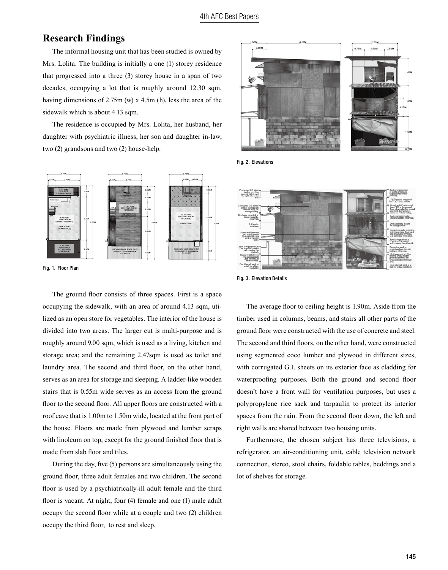# **Research Findings**

 The informal housing unit that has been studied is owned by Mrs. Lolita. The building is initially a one (1) storey residence that progressed into a three (3) storey house in a span of two decades, occupying a lot that is roughly around 12.30 sqm, having dimensions of 2.75m (w) x 4.5m (h), less the area of the sidewalk which is about 4.13 sqm.

 The residence is occupied by Mrs. Lolita, her husband, her daughter with psychiatric illness, her son and daughter in-law, two (2) grandsons and two (2) house-help.



Fig. 1. Floor Plan

The ground floor consists of three spaces. First is a space occupying the sidewalk, with an area of around 4.13 sqm, utilized as an open store for vegetables. The interior of the house is divided into two areas. The larger cut is multi-purpose and is roughly around 9.00 sqm, which is used as a living, kitchen and storage area; and the remaining 2.47sqm is used as toilet and laundry area. The second and third floor, on the other hand, serves as an area for storage and sleeping. A ladder-like wooden stairs that is 0.55m wide serves as an access from the ground floor to the second floor. All upper floors are constructed with a roof eave that is 1.00m to 1.50m wide, located at the front part of the house. Floors are made from plywood and lumber scraps with linoleum on top, except for the ground finished floor that is made from slab floor and tiles.

During the day, five (5) persons are simultaneously using the ground floor, three adult females and two children. The second floor is used by a psychiatrically-ill adult female and the third floor is vacant. At night, four (4) female and one (1) male adult occupy the second floor while at a couple and two (2) children occupy the third floor, to rest and sleep.



Fig. 2. Elevations



Fig. 3. Elevation Details

The average floor to ceiling height is 1.90m. Aside from the timber used in columns, beams, and stairs all other parts of the ground floor were constructed with the use of concrete and steel. The second and third floors, on the other hand, were constructed using segmented coco lumber and plywood in different sizes, with corrugated G.I. sheets on its exterior face as cladding for waterproofing purposes. Both the ground and second floor doesn't have a front wall for ventilation purposes, but uses a polypropylene rice sack and tarpaulin to protect its interior spaces from the rain. From the second floor down, the left and right walls are shared between two housing units.

 Furthermore, the chosen subject has three televisions, a refrigerator, an air-conditioning unit, cable television network connection, stereo, stool chairs, foldable tables, beddings and a lot of shelves for storage.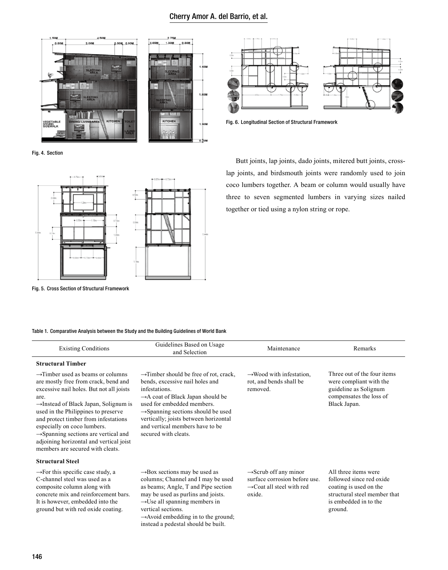### Cherry Amor A. del Barrio, et al.





Fig. 6. Longitudinal Section of Structural Framework

Fig. 4. Section



Fig. 5. Cross Section of Structural Framework

 Butt joints, lap joints, dado joints, mitered butt joints, crosslap joints, and birdsmouth joints were randomly used to join coco lumbers together. A beam or column would usually have three to seven segmented lumbers in varying sizes nailed together or tied using a nylon string or rope.

#### Table 1. Comparative Analysis between the Study and the Building Guidelines of World Bank

| <b>Existing Conditions</b>                                                                                                                                                                                                                                                                                                                                                                                                                      | Guidelines Based on Usage<br>and Selection                                                                                                                                                                                                                                                                                                  | Maintenance                                                                                                           | Remarks                                                                                                                                        |
|-------------------------------------------------------------------------------------------------------------------------------------------------------------------------------------------------------------------------------------------------------------------------------------------------------------------------------------------------------------------------------------------------------------------------------------------------|---------------------------------------------------------------------------------------------------------------------------------------------------------------------------------------------------------------------------------------------------------------------------------------------------------------------------------------------|-----------------------------------------------------------------------------------------------------------------------|------------------------------------------------------------------------------------------------------------------------------------------------|
| <b>Structural Timber</b>                                                                                                                                                                                                                                                                                                                                                                                                                        |                                                                                                                                                                                                                                                                                                                                             |                                                                                                                       |                                                                                                                                                |
| $\rightarrow$ Timber used as beams or columns<br>are mostly free from crack, bend and<br>excessive nail holes. But not all joists<br>are.<br>$\rightarrow$ Instead of Black Japan, Solignum is<br>used in the Philippines to preserve<br>and protect timber from infestations<br>especially on coco lumbers.<br>$\rightarrow$ Spanning sections are vertical and<br>adjoining horizontal and vertical joist<br>members are secured with cleats. | $\rightarrow$ Timber should be free of rot, crack,<br>bends, excessive nail holes and<br>infestations.<br>$\rightarrow$ A coat of Black Japan should be<br>used for embedded members.<br>$\rightarrow$ Spanning sections should be used<br>vertically; joists between horizontal<br>and vertical members have to be<br>secured with cleats. | $\rightarrow$ Wood with infestation,<br>rot, and bends shall be<br>removed.                                           | Three out of the four items<br>were compliant with the<br>guideline as Solignum<br>compensates the loss of<br>Black Japan.                     |
| <b>Structural Steel</b>                                                                                                                                                                                                                                                                                                                                                                                                                         |                                                                                                                                                                                                                                                                                                                                             |                                                                                                                       |                                                                                                                                                |
| $\rightarrow$ For this specific case study, a<br>C-channel steel was used as a<br>composite column along with<br>concrete mix and reinforcement bars.<br>It is however, embedded into the<br>ground but with red oxide coating.                                                                                                                                                                                                                 | $\rightarrow$ Box sections may be used as<br>columns; Channel and I may be used<br>as beams; Angle, T and Pipe section<br>may be used as purling and joists.<br>$\rightarrow$ Use all spanning members in<br>vertical sections.<br>$\rightarrow$ Avoid embedding in to the ground;<br>instead a pedestal should be built.                   | $\rightarrow$ Scrub off any minor<br>surface corrosion before use.<br>$\rightarrow$ Coat all steel with red<br>oxide. | All three items were<br>followed since red oxide<br>coating is used on the<br>structural steel member that<br>is embedded in to the<br>ground. |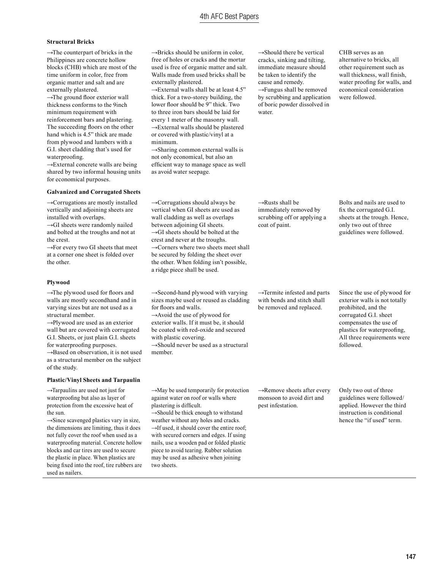### 4th AFC Best Papers

#### **Structural Bricks**

 $\rightarrow$ The counterpart of bricks in the Philippines are concrete hollow blocks (CHB) which are most of the time uniform in color, free from organic matter and salt and are externally plastered.

 $\rightarrow$ The ground floor exterior wall thickness conforms to the 9inch minimum requirement with reinforcement bars and plastering. The succeeding floors on the other hand which is 4.5" thick are made from plywood and lumbers with a G.I. sheet cladding that's used for waterproofing.

→External concrete walls are being shared by two informal housing units for economical purposes.

#### **Galvanized and Corrugated Sheets**

→Corrugations are mostly installed vertically and adjoining sheets are installed with overlaps.

 $\rightarrow$ GI sheets were randomly nailed and bolted at the troughs and not at the crest.

 $\rightarrow$ For every two GI sheets that meet at a corner one sheet is folded over the other.

#### **Plywood**

of the study.

→The plywood used for floors and walls are mostly secondhand and in varying sizes but are not used as a structural member.

→Plywood are used as an exterior wall but are covered with corrugated G.I. Sheets, or just plain G.I. sheets

for waterproofing purposes. →Based on observation, it is not used as a structural member on the subject

#### **Plastic/Vinyl Sheets and Tarpaulin**

→Tarpaulins are used not just for waterproofing but also as layer of protection from the excessive heat of the sun.

 $\rightarrow$ Since scavenged plastics vary in size, the dimensions are limiting, thus it does not fully cover the roof when used as a waterproofing material. Concrete hollow blocks and car tires are used to secure the plastic in place. When plastics are being fixed into the roof, tire rubbers are used as nailers.

 $\rightarrow$ Bricks should be uniform in color free of holes or cracks and the mortar used is free of organic matter and salt. Walls made from used bricks shall be externally plastered.

 $\rightarrow$ External walls shall be at least 4.5" thick. For a two-storey building, the lower floor should be 9" thick. Two to three iron bars should be laid for every 1 meter of the masonry wall. →External walls should be plastered or covered with plastic/vinyl at a minimum.

→Sharing common external walls is not only economical, but also an efficient way to manage space as well as avoid water seepage.

 $\rightarrow$ Corrugations should always be vertical when GI sheets are used as wall cladding as well as overlaps between adjoining GI sheets.  $\rightarrow$ GI sheets should be bolted at the crest and never at the troughs.  $\rightarrow$ Corners where two sheets meet shall be secured by folding the sheet over the other. When folding isn't possible, a ridge piece shall be used.

 $\rightarrow$ Second-hand plywood with varying sizes maybe used or reused as cladding for floors and walls. →Avoid the use of plywood for exterior walls. If it must be, it should be coated with red-oxide and secured with plastic covering.

 $\rightarrow$ Should never be used as a structural member.

 $\rightarrow$ May be used temporarily for protection against water on roof or walls where plastering is difficult.

 $\rightarrow$ Should be thick enough to withstand weather without any holes and cracks.  $\rightarrow$ If used, it should cover the entire roof: with secured corners and edges. If using nails, use a wooden pad or folded plastic piece to avoid tearing. Rubber solution may be used as adhesive when joining two sheets.

 $\rightarrow$ Should there be vertical cracks, sinking and tilting, immediate measure should be taken to identify the cause and remedy. →Fungus shall be removed by scrubbing and application of boric powder dissolved in water.

CHB serves as an alternative to bricks, all other requirement such as wall thickness, wall finish, water proofing for walls, and economical consideration were followed.

 $\rightarrow$ Rusts shall be immediately removed by scrubbing off or applying a coat of paint.

Bolts and nails are used to fix the corrugated G.I. sheets at the trough. Hence, only two out of three guidelines were followed.

→Termite infested and parts with bends and stitch shall be removed and replaced.

Since the use of plywood for exterior walls is not totally prohibited, and the corrugated G.I. sheet compensates the use of plastics for waterproofing, All three requirements were followed.

→Remove sheets after every monsoon to avoid dirt and pest infestation.

Only two out of three guidelines were followed/ applied. However the third instruction is conditional hence the "if used" term.